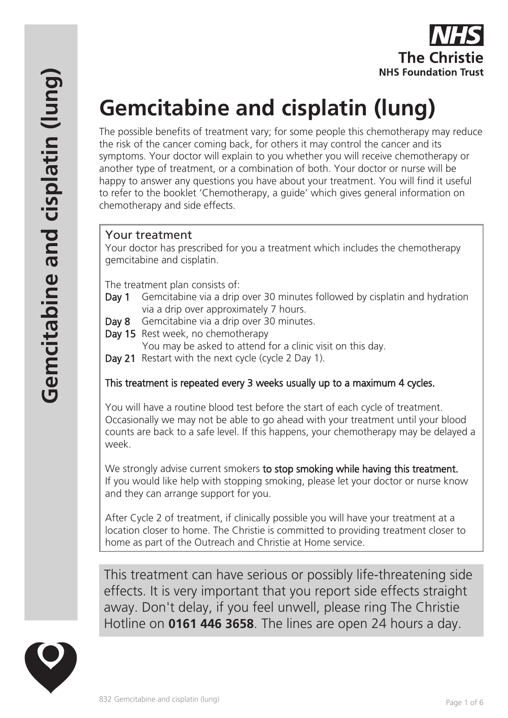

# **Gemcitabine and cisplatin (lung)**

The possible benefits of treatment vary; for some people this chemotherapy may reduce the risk of the cancer coming back, for others it may control the cancer and its symptoms. Your doctor will explain to you whether you will receive chemotherapy or another type of treatment, or a combination of both. Your doctor or nurse will be happy to answer any questions you have about your treatment. You will find it useful to refer to the booklet 'Chemotherapy, a guide' which gives general information on chemotherapy and side effects.

## Your treatment

Your doctor has prescribed for you a treatment which includes the chemotherapy gemcitabine and cisplatin.

The treatment plan consists of:

- Day 1 Gemcitabine via a drip over 30 minutes followed by cisplatin and hydration via a drip over approximately 7 hours.
- Day 8 Gemcitabine via a drip over 30 minutes.
- Day 15 Rest week, no chemotherapy

You may be asked to attend for a clinic visit on this day.

Day 21 Restart with the next cycle (cycle 2 Day 1).

# This treatment is repeated every 3 weeks usually up to a maximum 4 cycles.

You will have a routine blood test before the start of each cycle of treatment. Occasionally we may not be able to go ahead with your treatment until your blood counts are back to a safe level. If this happens, your chemotherapy may be delayed a week.

We strongly advise current smokers to stop smoking while having this treatment. If you would like help with stopping smoking, please let your doctor or nurse know and they can arrange support for you.

After Cycle 2 of treatment, if clinically possible you will have your treatment at a location closer to home. The Christie is committed to providing treatment closer to home as part of the Outreach and Christie at Home service.

This treatment can have serious or possibly life-threatening side effects. It is very important that you report side effects straight away. Don't delay, if you feel unwell, please ring The Christie Hotline on **0161 446 3658**. The lines are open 24 hours a day.

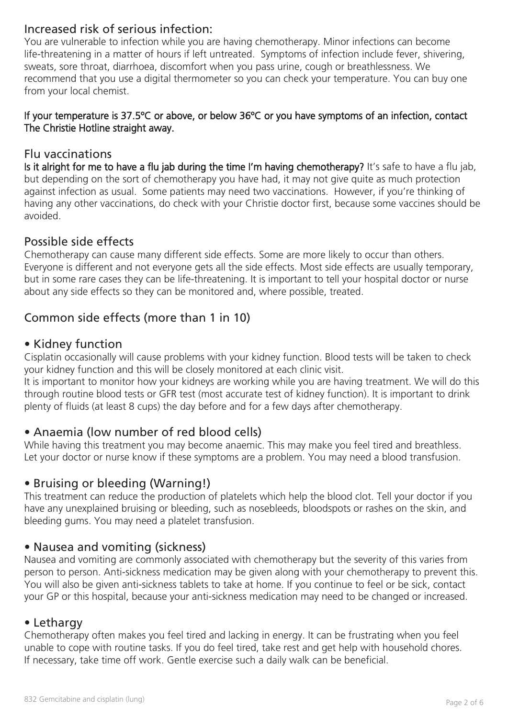## Increased risk of serious infection:

You are vulnerable to infection while you are having chemotherapy. Minor infections can become life-threatening in a matter of hours if left untreated. Symptoms of infection include fever, shivering, sweats, sore throat, diarrhoea, discomfort when you pass urine, cough or breathlessness. We recommend that you use a digital thermometer so you can check your temperature. You can buy one from your local chemist.

#### If your temperature is 37.5ºC or above, or below 36ºC or you have symptoms of an infection, contact The Christie Hotline straight away.

## Flu vaccinations

Is it alright for me to have a flu jab during the time I'm having chemotherapy? It's safe to have a flu jab, but depending on the sort of chemotherapy you have had, it may not give quite as much protection against infection as usual. Some patients may need two vaccinations. However, if you're thinking of having any other vaccinations, do check with your Christie doctor first, because some vaccines should be avoided.

## Possible side effects

Chemotherapy can cause many different side effects. Some are more likely to occur than others. Everyone is different and not everyone gets all the side effects. Most side effects are usually temporary, but in some rare cases they can be life-threatening. It is important to tell your hospital doctor or nurse about any side effects so they can be monitored and, where possible, treated.

# Common side effects (more than 1 in 10)

## • Kidney function

Cisplatin occasionally will cause problems with your kidney function. Blood tests will be taken to check your kidney function and this will be closely monitored at each clinic visit.

It is important to monitor how your kidneys are working while you are having treatment. We will do this through routine blood tests or GFR test (most accurate test of kidney function). It is important to drink plenty of fluids (at least 8 cups) the day before and for a few days after chemotherapy.

## • Anaemia (low number of red blood cells)

While having this treatment you may become anaemic. This may make you feel tired and breathless. Let your doctor or nurse know if these symptoms are a problem. You may need a blood transfusion.

## • Bruising or bleeding (Warning!)

This treatment can reduce the production of platelets which help the blood clot. Tell your doctor if you have any unexplained bruising or bleeding, such as nosebleeds, bloodspots or rashes on the skin, and bleeding gums. You may need a platelet transfusion.

## • Nausea and vomiting (sickness)

Nausea and vomiting are commonly associated with chemotherapy but the severity of this varies from person to person. Anti-sickness medication may be given along with your chemotherapy to prevent this. You will also be given anti-sickness tablets to take at home. If you continue to feel or be sick, contact your GP or this hospital, because your anti-sickness medication may need to be changed or increased.

## • Lethargy

Chemotherapy often makes you feel tired and lacking in energy. It can be frustrating when you feel unable to cope with routine tasks. If you do feel tired, take rest and get help with household chores. If necessary, take time off work. Gentle exercise such a daily walk can be beneficial.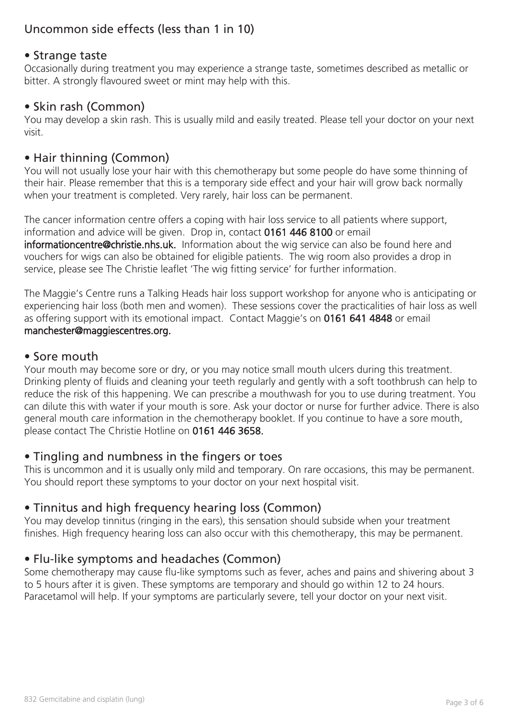# Uncommon side effects (less than 1 in 10)

## • Strange taste

Occasionally during treatment you may experience a strange taste, sometimes described as metallic or bitter. A strongly flavoured sweet or mint may help with this.

## • Skin rash (Common)

You may develop a skin rash. This is usually mild and easily treated. Please tell your doctor on your next visit.

## • Hair thinning (Common)

You will not usually lose your hair with this chemotherapy but some people do have some thinning of their hair. Please remember that this is a temporary side effect and your hair will grow back normally when your treatment is completed. Very rarely, hair loss can be permanent.

The cancer information centre offers a coping with hair loss service to all patients where support, information and advice will be given. Drop in, contact 0161 446 8100 or email informationcentre@christie.nhs.uk. Information about the wig service can also be found here and vouchers for wigs can also be obtained for eligible patients. The wig room also provides a drop in service, please see The Christie leaflet 'The wig fitting service' for further information.

The Maggie's Centre runs a Talking Heads hair loss support workshop for anyone who is anticipating or experiencing hair loss (both men and women). These sessions cover the practicalities of hair loss as well as offering support with its emotional impact. Contact Maggie's on 0161 641 4848 or email manchester@maggiescentres.org.

#### • Sore mouth

Your mouth may become sore or dry, or you may notice small mouth ulcers during this treatment. Drinking plenty of fluids and cleaning your teeth regularly and gently with a soft toothbrush can help to reduce the risk of this happening. We can prescribe a mouthwash for you to use during treatment. You can dilute this with water if your mouth is sore. Ask your doctor or nurse for further advice. There is also general mouth care information in the chemotherapy booklet. If you continue to have a sore mouth, please contact The Christie Hotline on 0161 446 3658.

## • Tingling and numbness in the fingers or toes

This is uncommon and it is usually only mild and temporary. On rare occasions, this may be permanent. You should report these symptoms to your doctor on your next hospital visit.

## • Tinnitus and high frequency hearing loss (Common)

You may develop tinnitus (ringing in the ears), this sensation should subside when your treatment finishes. High frequency hearing loss can also occur with this chemotherapy, this may be permanent.

## • Flu-like symptoms and headaches (Common)

Some chemotherapy may cause flu-like symptoms such as fever, aches and pains and shivering about 3 to 5 hours after it is given. These symptoms are temporary and should go within 12 to 24 hours. Paracetamol will help. If your symptoms are particularly severe, tell your doctor on your next visit.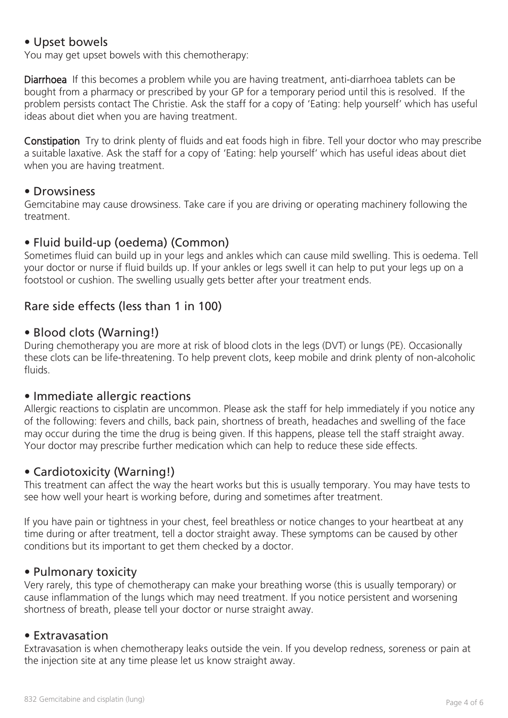## • Upset bowels

You may get upset bowels with this chemotherapy:

Diarrhoea If this becomes a problem while you are having treatment, anti-diarrhoea tablets can be bought from a pharmacy or prescribed by your GP for a temporary period until this is resolved. If the problem persists contact The Christie. Ask the staff for a copy of 'Eating: help yourself' which has useful ideas about diet when you are having treatment.

Constipation Try to drink plenty of fluids and eat foods high in fibre. Tell your doctor who may prescribe a suitable laxative. Ask the staff for a copy of 'Eating: help yourself' which has useful ideas about diet when you are having treatment.

#### • Drowsiness

Gemcitabine may cause drowsiness. Take care if you are driving or operating machinery following the treatment.

## • Fluid build-up (oedema) (Common)

Sometimes fluid can build up in your legs and ankles which can cause mild swelling. This is oedema. Tell your doctor or nurse if fluid builds up. If your ankles or legs swell it can help to put your legs up on a footstool or cushion. The swelling usually gets better after your treatment ends.

## Rare side effects (less than 1 in 100)

## • Blood clots (Warning!)

During chemotherapy you are more at risk of blood clots in the legs (DVT) or lungs (PE). Occasionally these clots can be life-threatening. To help prevent clots, keep mobile and drink plenty of non-alcoholic fluids.

## • Immediate allergic reactions

Allergic reactions to cisplatin are uncommon. Please ask the staff for help immediately if you notice any of the following: fevers and chills, back pain, shortness of breath, headaches and swelling of the face may occur during the time the drug is being given. If this happens, please tell the staff straight away. Your doctor may prescribe further medication which can help to reduce these side effects.

## • Cardiotoxicity (Warning!)

This treatment can affect the way the heart works but this is usually temporary. You may have tests to see how well your heart is working before, during and sometimes after treatment.

If you have pain or tightness in your chest, feel breathless or notice changes to your heartbeat at any time during or after treatment, tell a doctor straight away. These symptoms can be caused by other conditions but its important to get them checked by a doctor.

#### • Pulmonary toxicity

Very rarely, this type of chemotherapy can make your breathing worse (this is usually temporary) or cause inflammation of the lungs which may need treatment. If you notice persistent and worsening shortness of breath, please tell your doctor or nurse straight away.

#### • Extravasation

Extravasation is when chemotherapy leaks outside the vein. If you develop redness, soreness or pain at the injection site at any time please let us know straight away.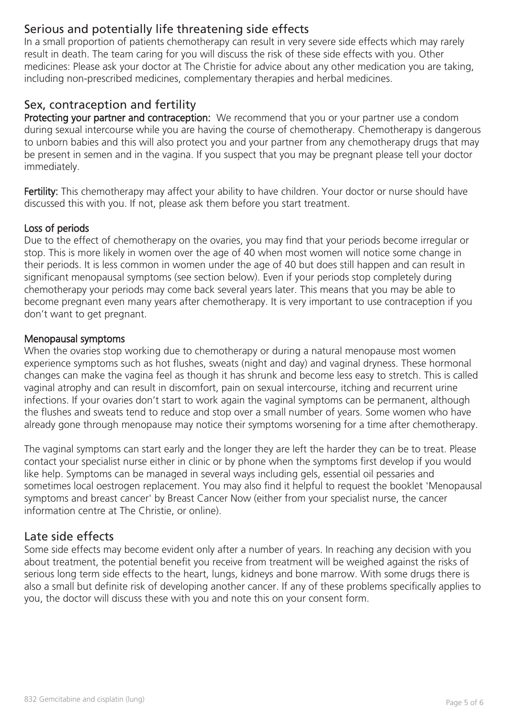# Serious and potentially life threatening side effects

In a small proportion of patients chemotherapy can result in very severe side effects which may rarely result in death. The team caring for you will discuss the risk of these side effects with you. Other medicines: Please ask your doctor at The Christie for advice about any other medication you are taking, including non-prescribed medicines, complementary therapies and herbal medicines.

## Sex, contraception and fertility

Protecting your partner and contraception: We recommend that you or your partner use a condom during sexual intercourse while you are having the course of chemotherapy. Chemotherapy is dangerous to unborn babies and this will also protect you and your partner from any chemotherapy drugs that may be present in semen and in the vagina. If you suspect that you may be pregnant please tell your doctor immediately.

Fertility: This chemotherapy may affect your ability to have children. Your doctor or nurse should have discussed this with you. If not, please ask them before you start treatment.

#### Loss of periods

Due to the effect of chemotherapy on the ovaries, you may find that your periods become irregular or stop. This is more likely in women over the age of 40 when most women will notice some change in their periods. It is less common in women under the age of 40 but does still happen and can result in significant menopausal symptoms (see section below). Even if your periods stop completely during chemotherapy your periods may come back several years later. This means that you may be able to become pregnant even many years after chemotherapy. It is very important to use contraception if you don't want to get pregnant.

#### Menopausal symptoms

When the ovaries stop working due to chemotherapy or during a natural menopause most women experience symptoms such as hot flushes, sweats (night and day) and vaginal dryness. These hormonal changes can make the vagina feel as though it has shrunk and become less easy to stretch. This is called vaginal atrophy and can result in discomfort, pain on sexual intercourse, itching and recurrent urine infections. If your ovaries don't start to work again the vaginal symptoms can be permanent, although the flushes and sweats tend to reduce and stop over a small number of years. Some women who have already gone through menopause may notice their symptoms worsening for a time after chemotherapy.

The vaginal symptoms can start early and the longer they are left the harder they can be to treat. Please contact your specialist nurse either in clinic or by phone when the symptoms first develop if you would like help. Symptoms can be managed in several ways including gels, essential oil pessaries and sometimes local oestrogen replacement. You may also find it helpful to request the booklet 'Menopausal symptoms and breast cancer' by Breast Cancer Now (either from your specialist nurse, the cancer information centre at The Christie, or online).

## Late side effects

Some side effects may become evident only after a number of years. In reaching any decision with you about treatment, the potential benefit you receive from treatment will be weighed against the risks of serious long term side effects to the heart, lungs, kidneys and bone marrow. With some drugs there is also a small but definite risk of developing another cancer. If any of these problems specifically applies to you, the doctor will discuss these with you and note this on your consent form.